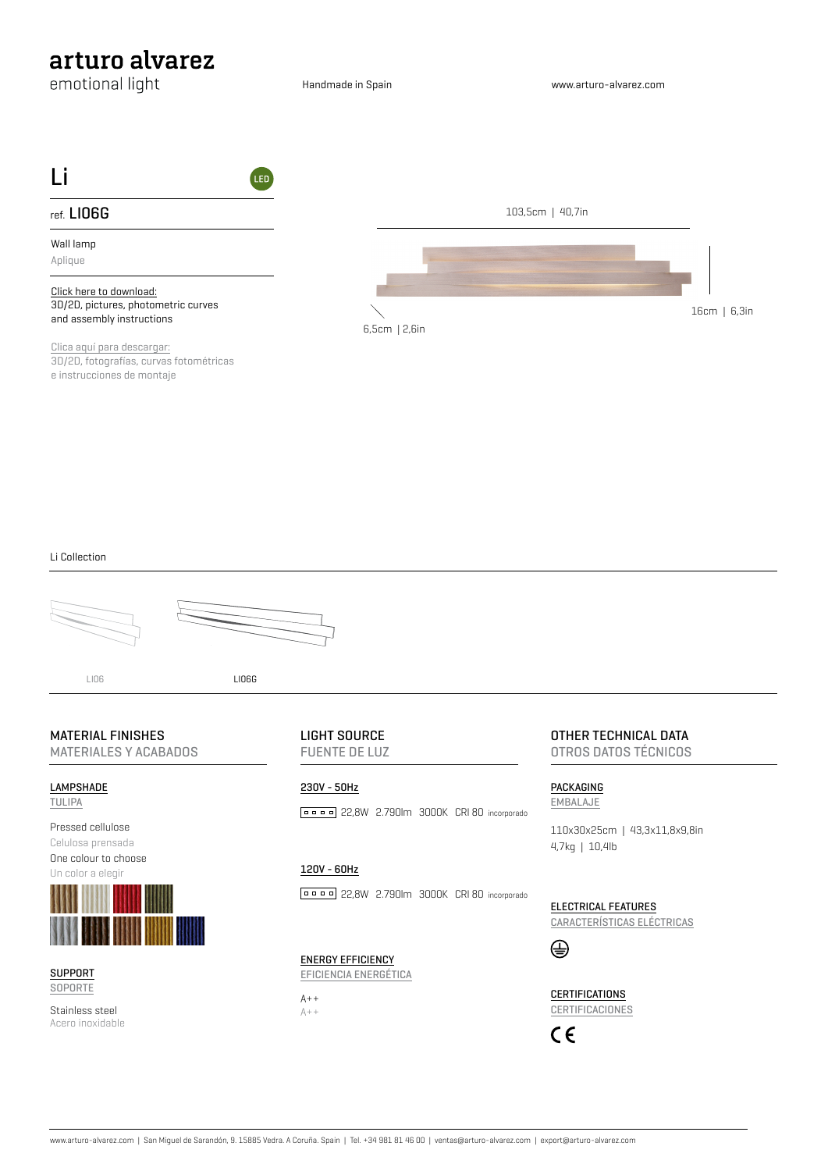# arturo alvarez

emotional light

Handmade in Spain



[Clica aquí para descargar:](http://www.arturo-alvarez.com/es/lampara/li06g-aplique/) 3D/2D, fotografías, curvas fotométricas e instrucciones de montaje

#### Li Collection





LI06 LI06G

## MATERIAL FINISHES

MATERIALES Y ACABADOS

#### LAMPSHADE

TULIPA





**SUPPORT** SOPORTE

Stainless steel Acero inoxidable LIGHT SOURCE FUENTE DE LUZ

## 230V - 50Hz 22,8W 2.790lm 3000K CRI 80 incorporado

## 120V - 60Hz

**PROFE** 22,8W 2.790lm 3000K CRI 80 incorporado

ENERGY EFFICIENCY EFICIENCIA ENERGÉTICA

 $A++$  $A++$  OTHER TECHNICAL DATA OTROS DATOS TÉCNICOS

PACKAGING EMBALAJE

110x30x25cm | 43,3x11,8x9,8in 4,7kg | 10,4lb

ELECTRICAL FEATURES CARACTERÍSTICAS ELÉCTRICAS



**CERTIFICATIONS CERTIFICACIONES** 

 $C \in$